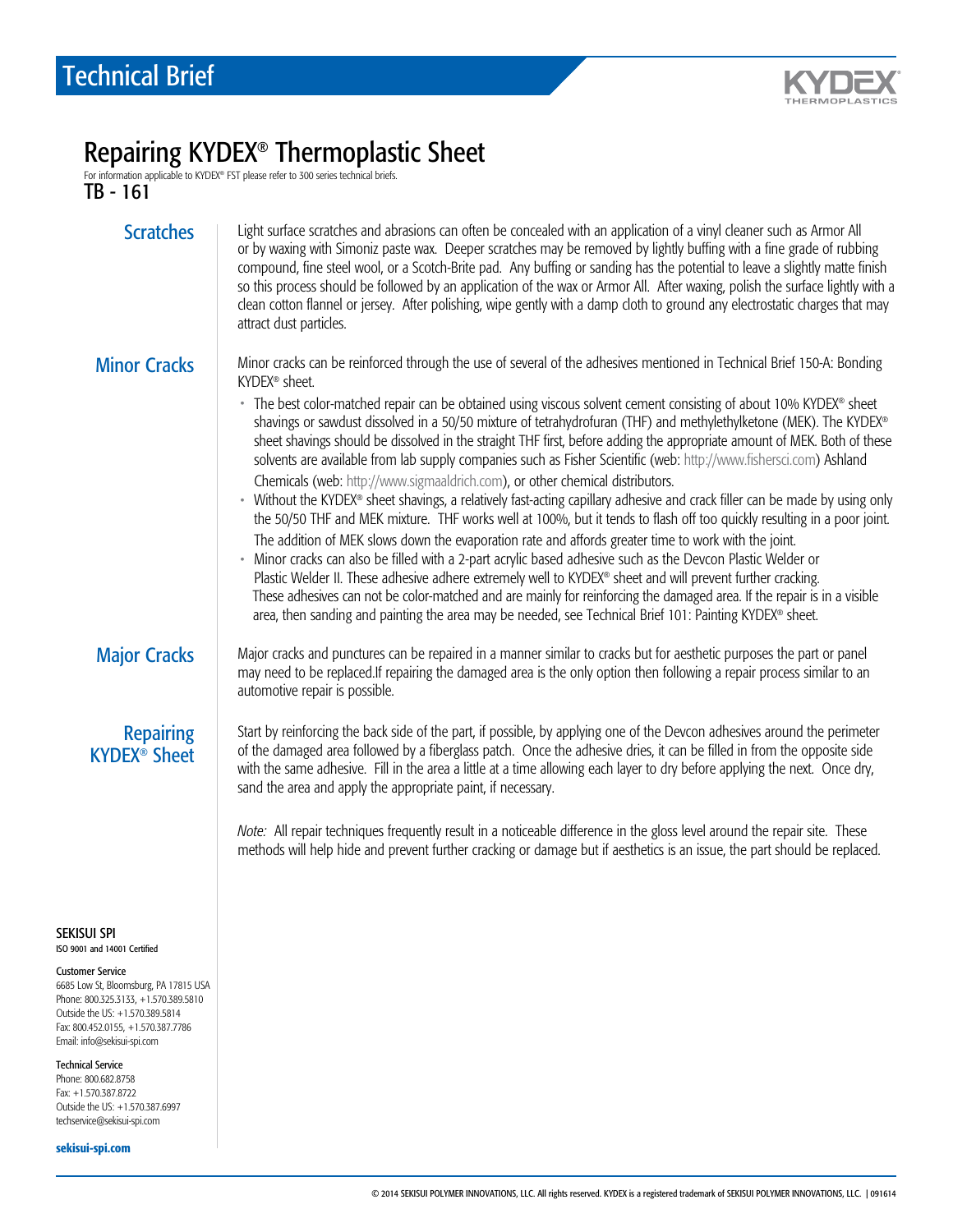

# Repairing KYDEX® Thermoplastic Sheet

For information applicable to KYDEX® FST please refer to 300 series technical briefs.

TB - 161

- Scratches | Light surface scratches and abrasions can often be concealed with an application of a vinyl cleaner such as Armor All or by waxing with Simoniz paste wax. Deeper scratches may be removed by lightly buffing with a fine grade of rubbing compound, fine steel wool, or a Scotch-Brite pad. Any buffing or sanding has the potential to leave a slightly matte finish so this process should be followed by an application of the wax or Armor All. After waxing, polish the surface lightly with a clean cotton flannel or jersey. After polishing, wipe gently with a damp cloth to ground any electrostatic charges that may attract dust particles.
- Minor Cracks Minor cracks can be reinforced through the use of several of the adhesives mentioned in Technical Brief 150-A: Bonding KYDEX® sheet.
	- The best color-matched repair can be obtained using viscous solvent cement consisting of about 10% KYDEX® sheet shavings or sawdust dissolved in a 50/50 mixture of tetrahydrofuran (THF) and methylethylketone (MEK). The KYDEX® sheet shavings should be dissolved in the straight THF first, before adding the appropriate amount of MEK. Both of these solvents are available from lab supply companies such as Fisher Scientific (web: http://www.fishersci.com) Ashland Chemicals (web: http://www.sigmaaldrich.com), or other chemical distributors.
	- Without the KYDEX® sheet shavings, a relatively fast-acting capillary adhesive and crack filler can be made by using only the 50/50 THF and MEK mixture. THF works well at 100%, but it tends to flash off too quickly resulting in a poor joint. The addition of MEK slows down the evaporation rate and affords greater time to work with the joint.
	- Minor cracks can also be filled with a 2-part acrylic based adhesive such as the Devcon Plastic Welder or Plastic Welder II. These adhesive adhere extremely well to KYDEX® sheet and will prevent further cracking. These adhesives can not be color-matched and are mainly for reinforcing the damaged area. If the repair is in a visible area, then sanding and painting the area may be needed, see Technical Brief 101: Painting KYDEX® sheet.

Major Cracks Major cracks and punctures can be repaired in a manner similar to cracks but for aesthetic purposes the part or panel may need to be replaced.If repairing the damaged area is the only option then following a repair process similar to an automotive repair is possible.

**Repairing** KYDEX® Sheet Start by reinforcing the back side of the part, if possible, by applying one of the Devcon adhesives around the perimeter of the damaged area followed by a fiberglass patch. Once the adhesive dries, it can be filled in from the opposite side with the same adhesive. Fill in the area a little at a time allowing each layer to dry before applying the next. Once dry, sand the area and apply the appropriate paint, if necessary.

*Note:* All repair techniques frequently result in a noticeable difference in the gloss level around the repair site. These methods will help hide and prevent further cracking or damage but if aesthetics is an issue, the part should be replaced.

#### SEKISUI SPI ISO 9001 and 14001 Certified

Customer Service

6685 Low St, Bloomsburg, PA 17815 USA Phone: 800.325.3133, +1.570.389.5810 Outside the US: +1.570.389.5814 Fax: 800.452.0155, +1.570.387.7786 Email: info@sekisui-spi.com

Technical Service

Phone: 800.682.8758 Fax: +1.570.387.8722 Outside the US: +1.570.387.6997 techservice@sekisui-spi.com

sekisui-spi.com